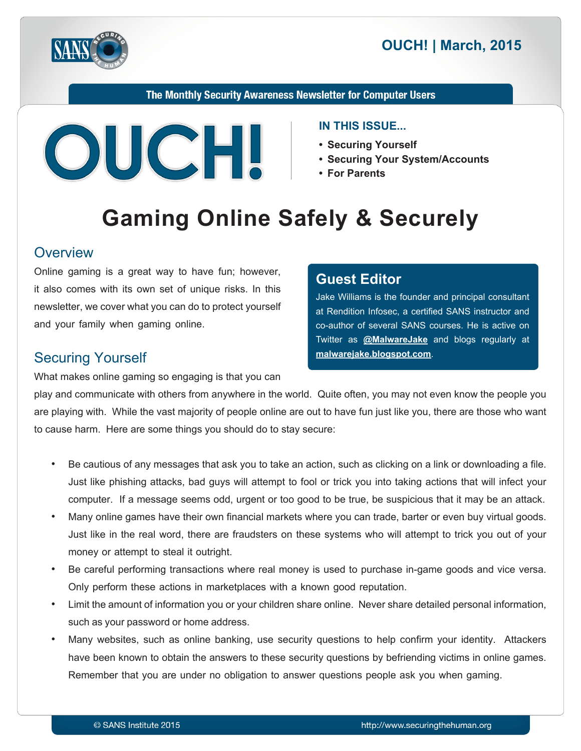



The Monthly Security Awareness Newsletter for Computer Users



#### **IN THIS ISSUE...**

- Securing Yourself
- Securing Your System/Accounts

Jake Williams is the founder and principal consultant at Rendition Infosec, a certified SANS instructor and co-author of several SANS courses. He is active on Twitter as **@[MalwareJake](https://twitter.com/malwarejake)** and blogs regularly at

**• For Parents** 

**Editor Guest**

malwarejake.blogspot.com.

# **Gaming Online Safely & Securely**

#### **Overview**

Online gaming is a great way to have fun; however, it also comes with its own set of unique risks. In this newsletter, we cover what you can do to protect yourself and your family when gaming online.

#### **Securing Yourself**

What makes online gaming so engaging is that you can

# play and communicate with others from anywhere in the world. Quite often, you may not even know the people you are playing with. While the vast majority of people online are out to have fun just like you, there are those who want to cause harm. Here are some things you should do to stay secure:

- Be cautious of any messages that ask you to take an action, such as clicking on a link or downloading a file. Just like phishing attacks, bad guys will attempt to fool or trick you into taking actions that will infect your computer. If a message seems odd, urgent or too good to be true, be suspicious that it may be an attack.
- Many online games have their own financial markets where you can trade, barter or even buy virtual goods. Just like in the real word, there are fraudsters on these systems who will attempt to trick you out of your money or attempt to steal it outright.
- Be careful performing transactions where real money is used to purchase in-game goods and vice versa. Only perform these actions in marketplaces with a known good reputation.
- Limit the amount of information you or your children share online. Never share detailed personal information, such as your password or home address.
- Many websites, such as online banking, use security questions to help confirm your identity. Attackers have been known to obtain the answers to these security questions by befriending victims in online games. Remember that you are under no obligation to answer questions people ask you when gaming.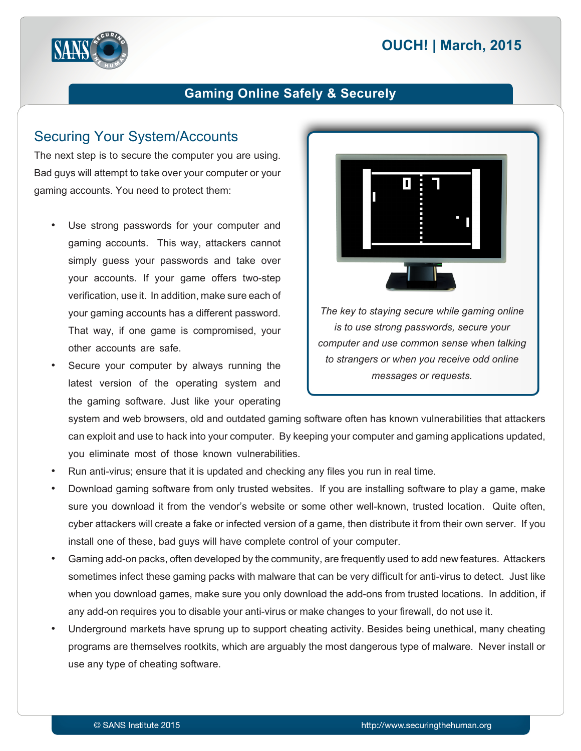# **2015 | OUCH! | March, 2015**



#### **Gaming Online Safely & Securely**

#### **Securing Your System/Accounts**

The next step is to secure the computer you are using. Bad guys will attempt to take over your computer or your gaming accounts. You need to protect them:

- Use strong passwords for your computer and gaming accounts. This way, attackers cannot simply guess your passwords and take over your accounts. If your game offers two-step verification, use it. In addition, make sure each of your gaming accounts has a different password. That way, if one game is compromised, your other accounts are safe.
- Secure your computer by always running the latest version of the operating system and the gaming software. Just like your operating



*is to use strong passwords, secure your* computer and use common sense when talking to strangers or when you receive odd online *.requests or messages*

system and web browsers, old and outdated gaming software often has known vulnerabilities that attackers can exploit and use to hack into your computer. By keeping your computer and gaming applications updated, you eliminate most of those known vulnerabilities.

- . Run anti-virus; ensure that it is updated and checking any files you run in real time.
- Download gaming software from only trusted websites. If you are installing software to play a game, make sure you download it from the vendor's website or some other well-known, trusted location. Quite often, cyber attackers will create a fake or infected version of a game, then distribute it from their own server. If you install one of these, bad guys will have complete control of your computer.
- Gaming add-on packs, often developed by the community, are frequently used to add new features. Attackers sometimes infect these gaming packs with malware that can be very difficult for anti-virus to detect. Just like when you download games, make sure you only download the add-ons from trusted locations. In addition, if any add-on requires you to disable your anti-virus or make changes to your firewall, do not use it.
- Underground markets have sprung up to support cheating activity. Besides being unethical, many cheating programs are themselves rootkits, which are arguably the most dangerous type of malware. Never install or use any type of cheating software.